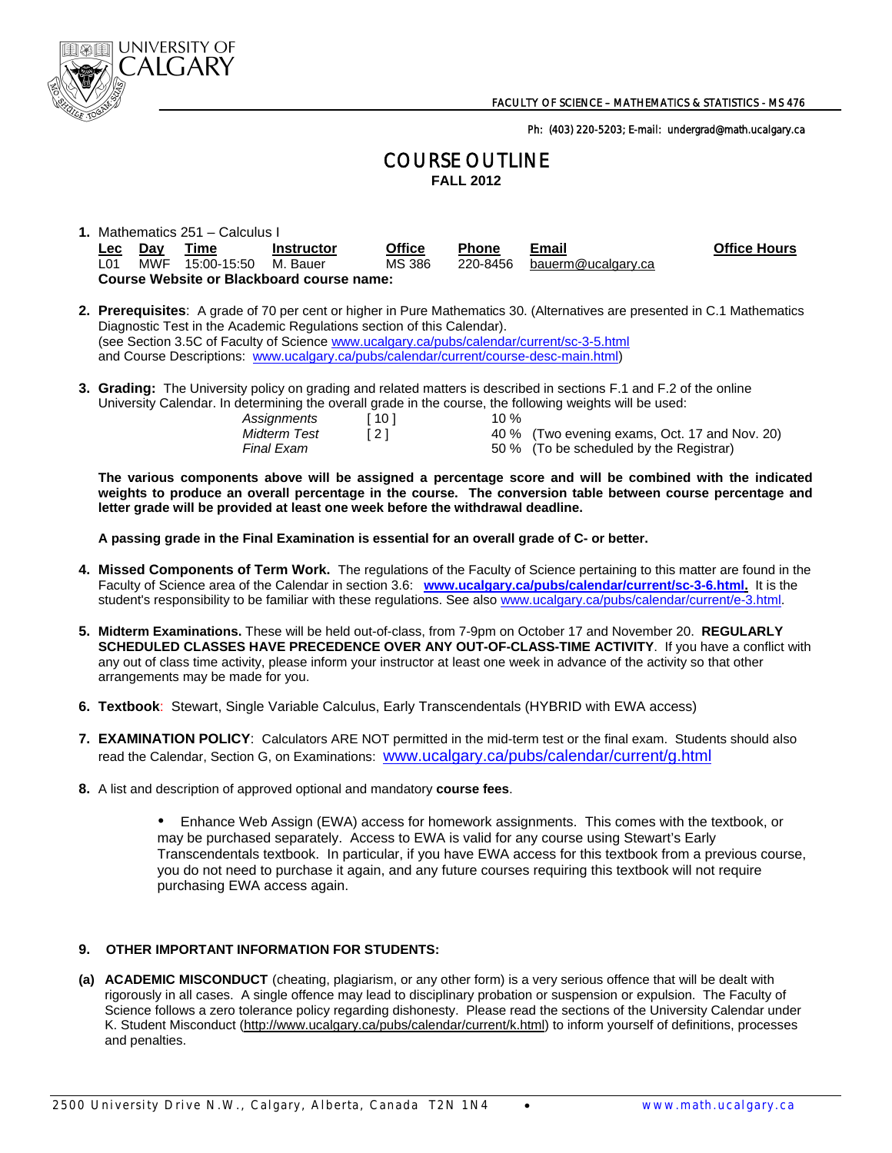

Ph: (403) 220-5203; E-mail: undergrad@math.ucalgary.ca

# COURSE OUTLINE **FALL 2012**

|            | 1. Mathematics 251 – Calculus I |                      |                                           |               |              |                    |                     |  |  |  |
|------------|---------------------------------|----------------------|-------------------------------------------|---------------|--------------|--------------------|---------------------|--|--|--|
| <b>Lec</b> | Dav                             | Time                 | Instructor                                | <b>Office</b> | <b>Phone</b> | Email              | <b>Office Hours</b> |  |  |  |
| LO1        | MWF                             | 15:00-15:50 M. Bauer |                                           | MS 386        | 220-8456     | bauerm@ucalgary.ca |                     |  |  |  |
|            |                                 |                      | Course Website or Blackboard course name: |               |              |                    |                     |  |  |  |

- **2. Prerequisites**: A grade of 70 per cent or higher in Pure Mathematics 30. (Alternatives are presented in C.1 Mathematics Diagnostic Test in the Academic Regulations section of this Calendar).<br>(see Section 3.5C of Faculty of Science www.ucalgary.ca/pubs/calendar/current/sc-3-5.html and Course Descriptions: www.ucalgary.ca/pubs/calendar/current/course-desc-main.html)
- **3. Grading:** The University policy on grading and related matters is described in sections F.1 and F.2 of the online University Calendar. In determining the overall grade in the course, the following weights will be used:

|              |        | <u>and a computer in actomming the creative states in the company the renorming mergine min we accord</u> |  |
|--------------|--------|-----------------------------------------------------------------------------------------------------------|--|
| Assignments  | i 10 I | 10 %                                                                                                      |  |
| Midterm Test |        | 40 % (Two evening exams, Oct. 17 and Nov. 20)                                                             |  |
| Final Exam   |        | 50 % (To be scheduled by the Registrar)                                                                   |  |

 **The various components above will be assigned a percentage score and will be combined with the indicated weights to produce an overall percentage in the course. The conversion table between course percentage and letter grade will be provided at least one week before the withdrawal deadline.** 

 **A passing grade in the Final Examination is essential for an overall grade of C- or better.** 

- **4. Missed Components of Term Work.** The regulations of the Faculty of Science pertaining to this matter are found in the Faculty of Science area of the Calendar in section 3.6: **www.ucalgary.ca/pubs/calendar/current/sc-3-6.html.** It is the student's responsibility to be familiar with these regulations. See also www.ucalgary.ca/pubs/calendar/current/e-3.html.
- **5. Midterm Examinations.** These will be held out-of-class, from 7-9pm on October 17 and November 20. **REGULARLY SCHEDULED CLASSES HAVE PRECEDENCE OVER ANY OUT-OF-CLASS-TIME ACTIVITY**. If you have a conflict with any out of class time activity, please inform your instructor at least one week in advance of the activity so that other arrangements may be made for you.
- **6. Textbook**: Stewart, Single Variable Calculus, Early Transcendentals (HYBRID with EWA access)
- **7. EXAMINATION POLICY**: Calculators ARE NOT permitted in the mid-term test or the final exam. Students should also read the Calendar, Section G, on Examinations: www.ucalgary.ca/pubs/calendar/current/g.html
- **8.** A list and description of approved optional and mandatory **course fees**.

Enhance Web Assign (EWA) access for homework assignments. This comes with the textbook, or may be purchased separately. Access to EWA is valid for any course using Stewart's Early Transcendentals textbook. In particular, if you have EWA access for this textbook from a previous course, you do not need to purchase it again, and any future courses requiring this textbook will not require purchasing EWA access again.

## **9. OTHER IMPORTANT INFORMATION FOR STUDENTS:**

**(a) ACADEMIC MISCONDUCT** (cheating, plagiarism, or any other form) is a very serious offence that will be dealt with rigorously in all cases. A single offence may lead to disciplinary probation or suspension or expulsion. The Faculty of Science follows a zero tolerance policy regarding dishonesty. Please read the sections of the University Calendar under K. Student Misconduct (http://www.ucalgary.ca/pubs/calendar/current/k.html) to inform yourself of definitions, processes and penalties.